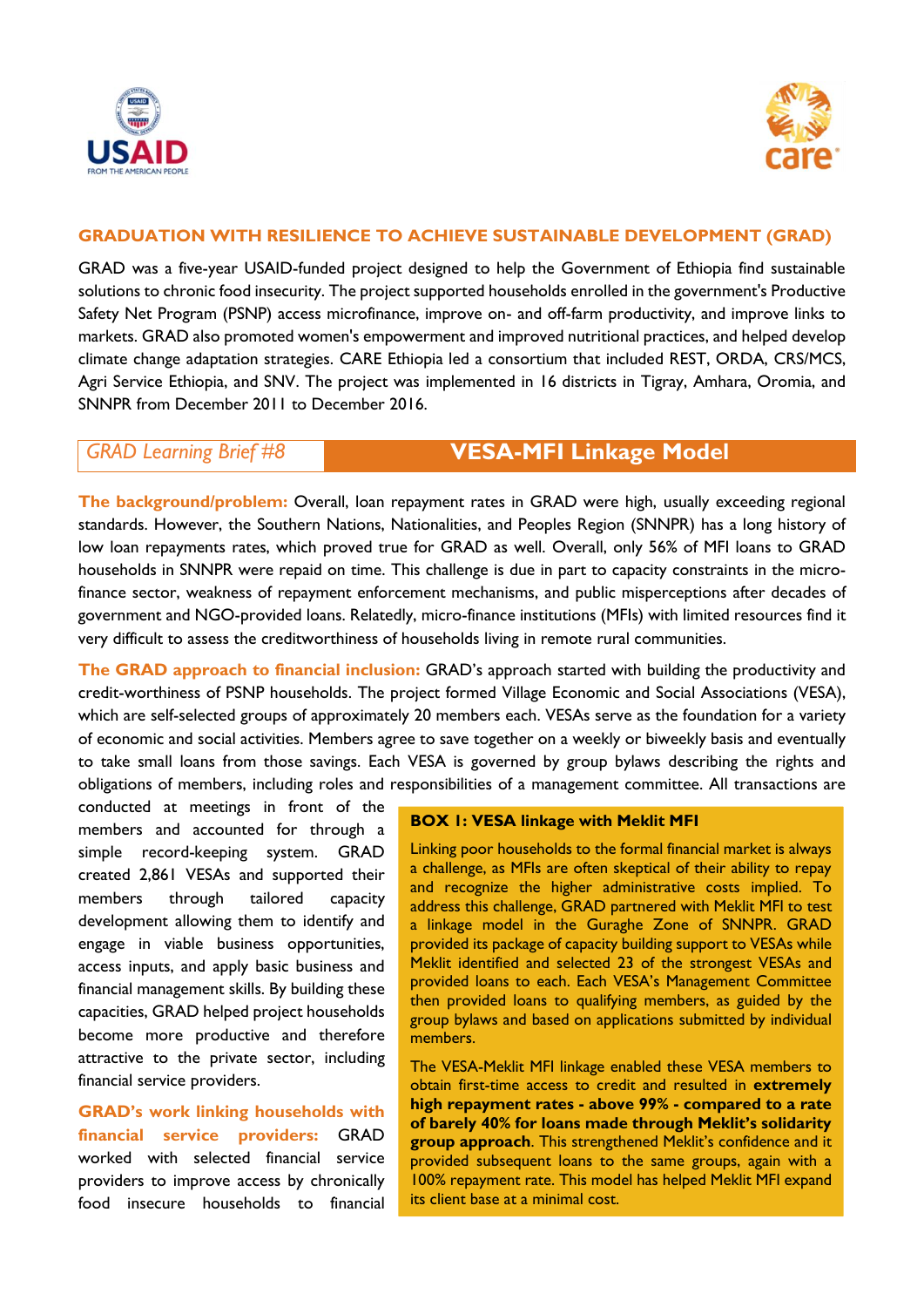



## **GRADUATION WITH RESILIENCE TO ACHIEVE SUSTAINABLE DEVELOPMENT (GRAD)**

GRAD was a five-year USAID-funded project designed to help the Government of Ethiopia find sustainable solutions to chronic food insecurity. The project supported households enrolled in the government's Productive Safety Net Program (PSNP) access microfinance, improve on- and off-farm productivity, and improve links to markets. GRAD also promoted women's empowerment and improved nutritional practices, and helped develop climate change adaptation strategies. CARE Ethiopia led a consortium that included REST, ORDA, CRS/MCS, Agri Service Ethiopia, and SNV. The project was implemented in 16 districts in Tigray, Amhara, Oromia, and SNNPR from December 2011 to December 2016.

# *GRAD Learning Brief #8* **VESA-MFI Linkage Model**

**The background/problem:** Overall, loan repayment rates in GRAD were high, usually exceeding regional standards. However, the Southern Nations, Nationalities, and Peoples Region (SNNPR) has a long history of low loan repayments rates, which proved true for GRAD as well. Overall, only 56% of MFI loans to GRAD households in SNNPR were repaid on time. This challenge is due in part to capacity constraints in the microfinance sector, weakness of repayment enforcement mechanisms, and public misperceptions after decades of government and NGO-provided loans. Relatedly, micro-finance institutions (MFIs) with limited resources find it very difficult to assess the creditworthiness of households living in remote rural communities.

**The GRAD approach to financial inclusion:** GRAD's approach started with building the productivity and credit-worthiness of PSNP households. The project formed Village Economic and Social Associations (VESA), which are self-selected groups of approximately 20 members each. VESAs serve as the foundation for a variety of economic and social activities. Members agree to save together on a weekly or biweekly basis and eventually to take small loans from those savings. Each VESA is governed by group bylaws describing the rights and obligations of members, including roles and responsibilities of a management committee. All transactions are

conducted at meetings in front of the members and accounted for through a simple record-keeping system. GRAD created 2,861 VESAs and supported their members through tailored capacity development allowing them to identify and engage in viable business opportunities, access inputs, and apply basic business and financial management skills. By building these capacities, GRAD helped project households become more productive and therefore attractive to the private sector, including financial service providers.

**GRAD's work linking households with financial service providers:** GRAD worked with selected financial service providers to improve access by chronically food insecure households to financial

## **BOX 1: VESA linkage with Meklit MFI**

Linking poor households to the formal financial market is always a challenge, as MFIs are often skeptical of their ability to repay and recognize the higher administrative costs implied. To address this challenge, GRAD partnered with Meklit MFI to test a linkage model in the Guraghe Zone of SNNPR. GRAD provided its package of capacity building support to VESAs while Meklit identified and selected 23 of the strongest VESAs and provided loans to each. Each VESA's Management Committee then provided loans to qualifying members, as guided by the group bylaws and based on applications submitted by individual members.

The VESA-Meklit MFI linkage enabled these VESA members to obtain first-time access to credit and resulted in **extremely high repayment rates - above 99% - compared to a rate of barely 40% for loans made through Meklit's solidarity group approach**. This strengthened Meklit's confidence and it provided subsequent loans to the same groups, again with a 100% repayment rate. This model has helped Meklit MFI expand its client base at a minimal cost.